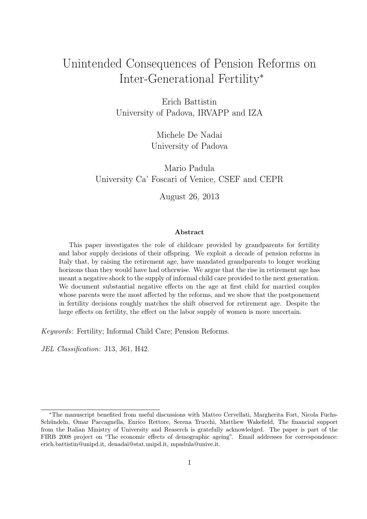## <span id="page-0-0"></span>Unintended Consequences of Pension Reforms on Inter-Generational Fertility<sup>∗</sup>

Erich Battistin University of Padova, IRVAPP and IZA

> Michele De Nadai University of Padova

Mario Padula University Ca' Foscari of Venice, CSEF and CEPR

August 26, 2013

#### Abstract

This paper investigates the role of childcare provided by grandparents for fertility and labor supply decisions of their offspring. We exploit a decade of pension reforms in Italy that, by raising the retirement age, have mandated grandparents to longer working horizons than they would have had otherwise. We argue that the rise in retirement age has meant a negative shock to the supply of informal child care provided to the next generation. We document substantial negative effects on the age at first child for married couples whose parents were the most affected by the reforms, and we show that the postponement in fertility decisions roughly matches the shift observed for retirement age. Despite the large effects on fertility, the effect on the labor supply of women is more uncertain.

Keywords: Fertility; Informal Child Care; Pension Reforms.

JEL Classification: J13, J61, H42.

<sup>∗</sup>The manuscript benefited from useful discussions with Matteo Cervellati, Margherita Fort, Nicola Fuchs-Schündeln, Omar Paccagnella, Enrico Rettore, Serena Trucchi, Matthew Wakefield, The financial support from the Italian Ministry of University and Reaserch is gratefully acknowledged. The paper is part of the FIRB 2008 project on "The economic effects of demographic ageing". Email addresses for correspondence: erich.battistin@unipd.it, denadai@stat.unipd.it, mpadula@unive.it.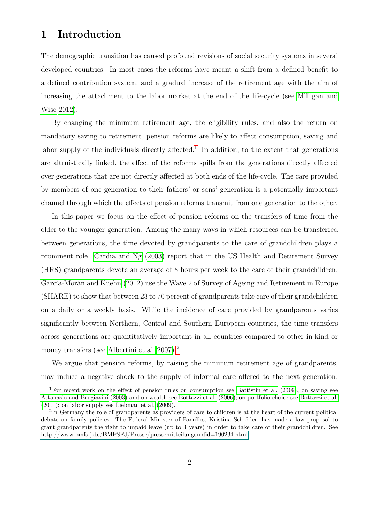## 1 Introduction

The demographic transition has caused profound revisions of social security systems in several developed countries. In most cases the reforms have meant a shift from a defined benefit to a defined contribution system, and a gradual increase of the retirement age with the aim of increasing the attachment to the labor market at the end of the life-cycle (see [Milligan and](#page-24-0) [Wise 2012\)](#page-24-0).

By changing the minimum retirement age, the eligibility rules, and also the return on mandatory saving to retirement, pension reforms are likely to affect consumption, saving and labor supply of the individuals directly affected.<sup>[1](#page-1-0)</sup> In addition, to the extent that generations are altruistically linked, the effect of the reforms spills from the generations directly affected over generations that are not directly affected at both ends of the life-cycle. The care provided by members of one generation to their fathers' or sons' generation is a potentially important channel through which the effects of pension reforms transmit from one generation to the other.

In this paper we focus on the effect of pension reforms on the transfers of time from the older to the younger generation. Among the many ways in which resources can be transferred between generations, the time devoted by grandparents to the care of grandchildren plays a prominent role. [Cardia and Ng](#page-22-0) [\(2003\)](#page-22-0) report that in the US Health and Retirement Survey (HRS) grandparents devote an average of 8 hours per week to the care of their grandchildren. [García-Morán and Kuehn](#page-22-1) [\(2012\)](#page-22-1) use the Wave 2 of Survey of Ageing and Retirement in Europe (SHARE) to show that between 23 to 70 percent of grandparents take care of their grandchildren on a daily or a weekly basis. While the incidence of care provided by grandparents varies significantly between Northern, Central and Southern European countries, the time transfers across generations are quantitatively important in all countries compared to other in-kind or money transfers (see [Albertini et al. 2007\)](#page-20-0).<sup>[2](#page-1-1)</sup>

We argue that pension reforms, by raising the minimum retirement age of grandparents, may induce a negative shock to the supply of informal care offered to the next generation.

<span id="page-1-0"></span><sup>1</sup>For recent work on the effect of pension rules on consumption see [Battistin et al.](#page-20-1) [\(2009\)](#page-20-1), on saving see [Attanasio and Brugiavini](#page-20-2) [\(2003\)](#page-20-2) and on wealth see [Bottazzi et al.](#page-21-0) [\(2006\)](#page-21-0); on portfolio choice see [Bottazzi et al.](#page-21-1) [\(2011\)](#page-21-1); on labor supply see [Liebman et al.](#page-23-0) [\(2009\)](#page-23-0).

<span id="page-1-1"></span><sup>2</sup> In Germany the role of grandparents as providers of care to children is at the heart of the current political debate on family policies. The Federal Minister of Families, Kristina Schröder, has made a law proposal to grant grandparents the right to unpaid leave (up to 3 years) in order to take care of their grandchildren. See [http://www.bmfsfj.de/BMFSFJ/Presse/pressemitteilungen,did=190234.html](#page-0-0)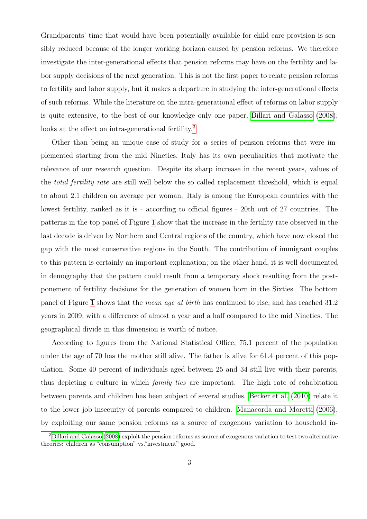Grandparents' time that would have been potentially available for child care provision is sensibly reduced because of the longer working horizon caused by pension reforms. We therefore investigate the inter-generational effects that pension reforms may have on the fertility and labor supply decisions of the next generation. This is not the first paper to relate pension reforms to fertility and labor supply, but it makes a departure in studying the inter-generational effects of such reforms. While the literature on the intra-generational effect of reforms on labor supply is quite extensive, to the best of our knowledge only one paper, [Billari and Galasso](#page-20-3) [\(2008\)](#page-20-3), looks at the effect on intra-generational fertility.<sup>[3](#page-2-0)</sup>

Other than being an unique case of study for a series of pension reforms that were implemented starting from the mid Nineties, Italy has its own peculiarities that motivate the relevance of our research question. Despite its sharp increase in the recent years, values of the total fertility rate are still well below the so called replacement threshold, which is equal to about 2.1 children on average per woman. Italy is among the European countries with the lowest fertility, ranked as it is - according to official figures - 20th out of 27 countries. The patterns in the top panel of Figure [1](#page-34-0) show that the increase in the fertility rate observed in the last decade is driven by Northern and Central regions of the country, which have now closed the gap with the most conservative regions in the South. The contribution of immigrant couples to this pattern is certainly an important explanation; on the other hand, it is well documented in demography that the pattern could result from a temporary shock resulting from the postponement of fertility decisions for the generation of women born in the Sixties. The bottom panel of Figure [1](#page-34-0) shows that the mean age at birth has continued to rise, and has reached 31.2 years in 2009, with a difference of almost a year and a half compared to the mid Nineties. The geographical divide in this dimension is worth of notice.

According to figures from the National Statistical Office, 75.1 percent of the population under the age of 70 has the mother still alive. The father is alive for 61.4 percent of this population. Some 40 percent of individuals aged between 25 and 34 still live with their parents, thus depicting a culture in which family ties are important. The high rate of cohabitation between parents and children has been subject of several studies. [Becker et al.](#page-20-4) [\(2010\)](#page-20-4) relate it to the lower job insecurity of parents compared to children. [Manacorda and Moretti](#page-23-1) [\(2006\)](#page-23-1), by exploiting our same pension reforms as a source of exogenous variation to household in-

<span id="page-2-0"></span><sup>&</sup>lt;sup>3</sup>[Billari and Galasso](#page-20-3) [\(2008\)](#page-20-3) exploit the pension reforms as source of exogenous variation to test two alternative theories: children as "consumption" vs."investment" good.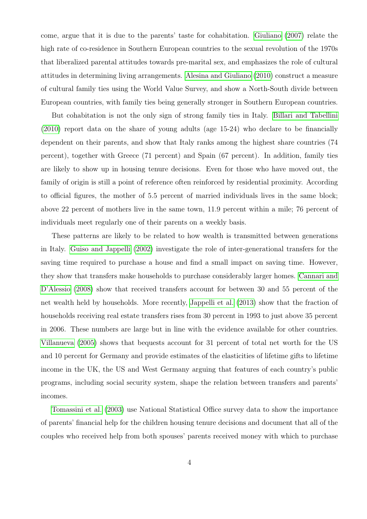come, argue that it is due to the parents' taste for cohabitation. [Giuliano](#page-22-2) [\(2007\)](#page-22-2) relate the high rate of co-residence in Southern European countries to the sexual revolution of the 1970s that liberalized parental attitudes towards pre-marital sex, and emphasizes the role of cultural attitudes in determining living arrangements. [Alesina and Giuliano](#page-20-5) [\(2010\)](#page-20-5) construct a measure of cultural family ties using the World Value Survey, and show a North-South divide between European countries, with family ties being generally stronger in Southern European countries.

But cohabitation is not the only sign of strong family ties in Italy. [Billari and Tabellini](#page-21-2) [\(2010\)](#page-21-2) report data on the share of young adults (age 15-24) who declare to be financially dependent on their parents, and show that Italy ranks among the highest share countries (74 percent), together with Greece (71 percent) and Spain (67 percent). In addition, family ties are likely to show up in housing tenure decisions. Even for those who have moved out, the family of origin is still a point of reference often reinforced by residential proximity. According to official figures, the mother of 5.5 percent of married individuals lives in the same block; above 22 percent of mothers live in the same town, 11.9 percent within a mile; 76 percent of individuals meet regularly one of their parents on a weekly basis.

These patterns are likely to be related to how wealth is transmitted between generations in Italy. [Guiso and Jappelli](#page-22-3) [\(2002\)](#page-22-3) investigate the role of inter-generational transfers for the saving time required to purchase a house and find a small impact on saving time. However, they show that transfers make households to purchase considerably larger homes. [Cannari and](#page-21-3) [D'Alessio](#page-21-3) [\(2008\)](#page-21-3) show that received transfers account for between 30 and 55 percent of the net wealth held by households. More recently, [Jappelli et al.](#page-23-2) [\(2013\)](#page-23-2) show that the fraction of households receiving real estate transfers rises from 30 percent in 1993 to just above 35 percent in 2006. These numbers are large but in line with the evidence available for other countries. [Villanueva](#page-25-0) [\(2005\)](#page-25-0) shows that bequests account for 31 percent of total net worth for the US and 10 percent for Germany and provide estimates of the elasticities of lifetime gifts to lifetime income in the UK, the US and West Germany arguing that features of each country's public programs, including social security system, shape the relation between transfers and parents' incomes.

[Tomassini et al.](#page-25-1) [\(2003\)](#page-25-1) use National Statistical Office survey data to show the importance of parents' financial help for the children housing tenure decisions and document that all of the couples who received help from both spouses' parents received money with which to purchase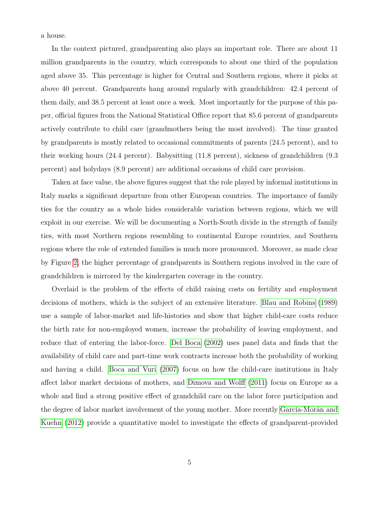a house.

In the context pictured, grandparenting also plays an important role. There are about 11 million grandparents in the country, which corresponds to about one third of the population aged above 35. This percentage is higher for Central and Southern regions, where it picks at above 40 percent. Grandparents hang around regularly with grandchildren: 42.4 percent of them daily, and 38.5 percent at least once a week. Most importantly for the purpose of this paper, official figures from the National Statistical Office report that 85.6 percent of grandparents actively contribute to child care (grandmothers being the most involved). The time granted by grandparents is mostly related to occasional commitments of parents (24.5 percent), and to their working hours (24.4 percent). Babysitting (11.8 percent), sickness of grandchildren (9.3 percent) and holydays (8.9 percent) are additional occasions of child care provision.

Taken at face value, the above figures suggest that the role played by informal institutions in Italy marks a significant departure from other European countries. The importance of family ties for the country as a whole hides considerable variation between regions, which we will exploit in our exercise. We will be documenting a North-South divide in the strength of family ties, with most Northern regions resembling to continental Europe countries, and Southern regions where the role of extended families is much more pronounced. Moreover, as made clear by Figure [2,](#page-35-0) the higher percentage of grandparents in Southern regions involved in the care of grandchildren is mirrored by the kindergarten coverage in the country.

Overlaid is the problem of the effects of child raising costs on fertility and employment decisions of mothers, which is the subject of an extensive literature. [Blau and Robins](#page-21-4) [\(1989\)](#page-21-4) use a sample of labor-market and life-histories and show that higher child-care costs reduce the birth rate for non-employed women, increase the probability of leaving employment, and reduce that of entering the labor-force. [Del Boca](#page-22-4) [\(2002\)](#page-22-4) uses panel data and finds that the availability of child care and part-time work contracts increase both the probability of working and having a child. [Boca and Vuri](#page-21-5) [\(2007\)](#page-21-5) focus on how the child-care institutions in Italy affect labor market decisions of mothers, and [Dimova and Wolff](#page-22-5) [\(2011\)](#page-22-5) focus on Europe as a whole and find a strong positive effect of grandchild care on the labor force participation and the degree of labor market involvement of the young mother. More recently [García-Morán and](#page-22-1) [Kuehn](#page-22-1) [\(2012\)](#page-22-1) provide a quantitative model to investigate the effects of grandparent-provided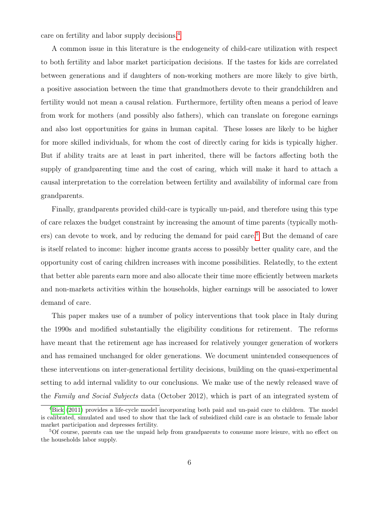care on fertility and labor supply decisions.[4](#page-5-0)

A common issue in this literature is the endogeneity of child-care utilization with respect to both fertility and labor market participation decisions. If the tastes for kids are correlated between generations and if daughters of non-working mothers are more likely to give birth, a positive association between the time that grandmothers devote to their grandchildren and fertility would not mean a causal relation. Furthermore, fertility often means a period of leave from work for mothers (and possibly also fathers), which can translate on foregone earnings and also lost opportunities for gains in human capital. These losses are likely to be higher for more skilled individuals, for whom the cost of directly caring for kids is typically higher. But if ability traits are at least in part inherited, there will be factors affecting both the supply of grandparenting time and the cost of caring, which will make it hard to attach a causal interpretation to the correlation between fertility and availability of informal care from grandparents.

Finally, grandparents provided child-care is typically un-paid, and therefore using this type of care relaxes the budget constraint by increasing the amount of time parents (typically mothers) can devote to work, and by reducing the demand for paid care.[5](#page-5-1) But the demand of care is itself related to income: higher income grants access to possibly better quality care, and the opportunity cost of caring children increases with income possibilities. Relatedly, to the extent that better able parents earn more and also allocate their time more efficiently between markets and non-markets activities within the households, higher earnings will be associated to lower demand of care.

This paper makes use of a number of policy interventions that took place in Italy during the 1990s and modified substantially the eligibility conditions for retirement. The reforms have meant that the retirement age has increased for relatively younger generation of workers and has remained unchanged for older generations. We document unintended consequences of these interventions on inter-generational fertility decisions, building on the quasi-experimental setting to add internal validity to our conclusions. We make use of the newly released wave of the Family and Social Subjects data (October 2012), which is part of an integrated system of

<span id="page-5-0"></span><sup>4</sup>[Bick](#page-20-6) [\(2011\)](#page-20-6) provides a life-cycle model incorporating both paid and un-paid care to children. The model is calibrated, simulated and used to show that the lack of subsidized child care is an obstacle to female labor market participation and depresses fertility.

<span id="page-5-1"></span><sup>5</sup>Of course, parents can use the unpaid help from grandparents to consume more leisure, with no effect on the households labor supply.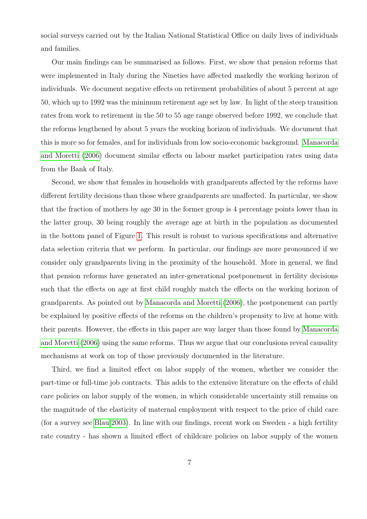social surveys carried out by the Italian National Statistical Office on daily lives of individuals and families.

Our main findings can be summarised as follows. First, we show that pension reforms that were implemented in Italy during the Nineties have affected markedly the working horizon of individuals. We document negative effects on retirement probabilities of about 5 percent at age 50, which up to 1992 was the minimum retirement age set by law. In light of the steep transition rates from work to retirement in the 50 to 55 age range observed before 1992, we conclude that the reforms lengthened by about 5 years the working horizon of individuals. We document that this is more so for females, and for individuals from low socio-economic background. [Manacorda](#page-23-1) [and Moretti](#page-23-1) [\(2006\)](#page-23-1) document similar effects on labour market participation rates using data from the Bank of Italy.

Second, we show that females in households with grandparents affected by the reforms have different fertility decisions than those where grandparents are unaffected. In particular, we show that the fraction of mothers by age 30 in the former group is 4 percentage points lower than in the latter group, 30 being roughly the average age at birth in the population as documented in the bottom panel of Figure [1.](#page-34-0) This result is robust to various specifications and alternative data selection criteria that we perform. In particular, our findings are more pronounced if we consider only grandparents living in the proximity of the household. More in general, we find that pension reforms have generated an inter-generational postponement in fertility decisions such that the effects on age at first child roughly match the effects on the working horizon of grandparents. As pointed out by [Manacorda and Moretti](#page-23-1) [\(2006\)](#page-23-1), the postponement can partly be explained by positive effects of the reforms on the children's propensity to live at home with their parents. However, the effects in this paper are way larger than those found by [Manacorda](#page-23-1) [and Moretti](#page-23-1) [\(2006\)](#page-23-1) using the same reforms. Thus we argue that our conclusions reveal causality mechanisms at work on top of those previously documented in the literature.

Third, we find a limited effect on labor supply of the women, whether we consider the part-time or full-time job contracts. This adds to the extensive literature on the effects of child care policies on labor supply of the women, in which considerable uncertainty still remains on the magnitude of the elasticity of maternal employment with respect to the price of child care (for a survey see [Blau 2003\)](#page-21-6). In line with our findings, recent work on Sweden - a high fertility rate country - has shown a limited effect of childcare policies on labor supply of the women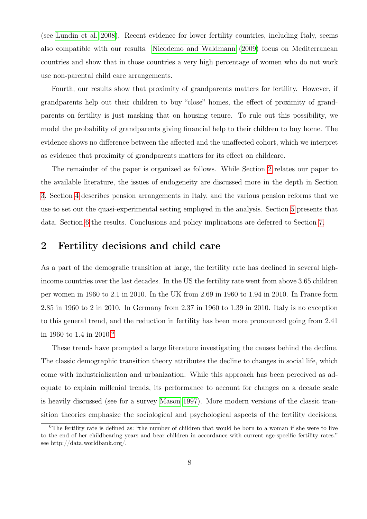(see [Lundin et al. 2008\)](#page-23-3). Recent evidence for lower fertility countries, including Italy, seems also compatible with our results. [Nicodemo and Waldmann](#page-24-1) [\(2009\)](#page-24-1) focus on Mediterranean countries and show that in those countries a very high percentage of women who do not work use non-parental child care arrangements.

Fourth, our results show that proximity of grandparents matters for fertility. However, if grandparents help out their children to buy "close" homes, the effect of proximity of grandparents on fertility is just masking that on housing tenure. To rule out this possibility, we model the probability of grandparents giving financial help to their children to buy home. The evidence shows no difference between the affected and the unaffected cohort, which we interpret as evidence that proximity of grandparents matters for its effect on childcare.

The remainder of the paper is organized as follows. While Section [2](#page-7-0) relates our paper to the available literature, the issues of endogeneity are discussed more in the depth in Section [3.](#page-10-0) Section [4](#page-11-0) describes pension arrangements in Italy, and the various pension reforms that we use to set out the quasi-experimental setting employed in the analysis. Section [5](#page-13-0) presents that data. Section [6](#page-14-0) the results. Conclusions and policy implications are deferred to Section [7.](#page-18-0)

## <span id="page-7-0"></span>2 Fertility decisions and child care

As a part of the demografic transition at large, the fertility rate has declined in several highincome countries over the last decades. In the US the fertility rate went from above 3.65 children per women in 1960 to 2.1 in 2010. In the UK from 2.69 in 1960 to 1.94 in 2010. In France form 2.85 in 1960 to 2 in 2010. In Germany from 2.37 in 1960 to 1.39 in 2010. Italy is no exception to this general trend, and the reduction in fertility has been more pronounced going from 2.41 in 1960 to 1.4 in 2010.[6](#page-7-1)

These trends have prompted a large literature investigating the causes behind the decline. The classic demographic transition theory attributes the decline to changes in social life, which come with industrialization and urbanization. While this approach has been perceived as adequate to explain millenial trends, its performance to account for changes on a decade scale is heavily discussed (see for a survey [Mason 1997\)](#page-24-2). More modern versions of the classic transition theories emphasize the sociological and psychological aspects of the fertility decisions,

<span id="page-7-1"></span><sup>&</sup>lt;sup>6</sup>The fertility rate is defined as: "the number of children that would be born to a woman if she were to live to the end of her childbearing years and bear children in accordance with current age-specific fertility rates." see http://data.worldbank.org/.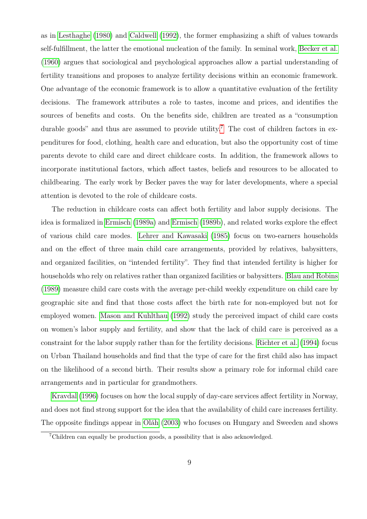as in [Lesthaghe](#page-23-4) [\(1980\)](#page-23-4) and [Caldwell](#page-21-7) [\(1992\)](#page-21-7), the former emphasizing a shift of values towards self-fulfillment, the latter the emotional nucleation of the family. In seminal work, [Becker et al.](#page-20-7) [\(1960\)](#page-20-7) argues that sociological and psychological approaches allow a partial understanding of fertility transitions and proposes to analyze fertility decisions within an economic framework. One advantage of the economic framework is to allow a quantitative evaluation of the fertility decisions. The framework attributes a role to tastes, income and prices, and identifies the sources of benefits and costs. On the benefits side, children are treated as a "consumption durable goods" and thus are assumed to provide utility.<sup>[7](#page-8-0)</sup> The cost of children factors in expenditures for food, clothing, health care and education, but also the opportunity cost of time parents devote to child care and direct childcare costs. In addition, the framework allows to incorporate institutional factors, which affect tastes, beliefs and resources to be allocated to childbearing. The early work by Becker paves the way for later developments, where a special attention is devoted to the role of childcare costs.

The reduction in childcare costs can affect both fertility and labor supply decisions. The idea is formalized in [Ermisch](#page-22-6) [\(1989a\)](#page-22-6) and [Ermisch](#page-22-7) [\(1989b\)](#page-22-7), and related works explore the effect of various child care modes. [Lehrer and Kawasaki](#page-23-5) [\(1985\)](#page-23-5) focus on two-earners households and on the effect of three main child care arrangements, provided by relatives, babysitters, and organized facilities, on "intended fertility". They find that intended fertility is higher for households who rely on relatives rather than organized facilities or babysitters. [Blau and Robins](#page-21-4) [\(1989\)](#page-21-4) measure child care costs with the average per-child weekly expenditure on child care by geographic site and find that those costs affect the birth rate for non-employed but not for employed women. [Mason and Kuhlthau](#page-24-3) [\(1992\)](#page-24-3) study the perceived impact of child care costs on women's labor supply and fertility, and show that the lack of child care is perceived as a constraint for the labor supply rather than for the fertility decisions. [Richter et al.](#page-24-4) [\(1994\)](#page-24-4) focus on Urban Thailand households and find that the type of care for the first child also has impact on the likelihood of a second birth. Their results show a primary role for informal child care arrangements and in particular for grandmothers.

[Kravdal](#page-23-6) [\(1996\)](#page-23-6) focuses on how the local supply of day-care services affect fertility in Norway, and does not find strong support for the idea that the availability of child care increases fertility. The opposite findings appear in [Oláh](#page-24-5) [\(2003\)](#page-24-5) who focuses on Hungary and Sweeden and shows

<span id="page-8-0"></span><sup>7</sup>Children can equally be production goods, a possibility that is also acknowledged.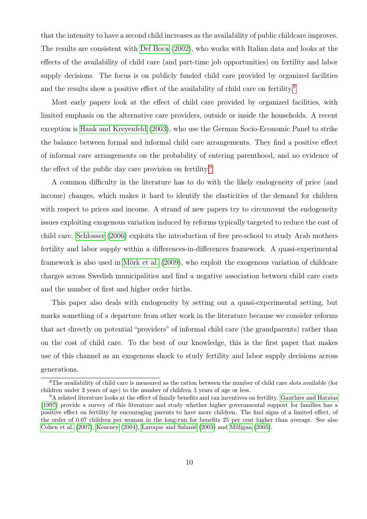that the intensity to have a second child increases as the availability of public childcare improves. The results are consistent with [Del Boca](#page-22-4) [\(2002\)](#page-22-4), who works with Italian data and looks at the effects of the availability of child care (and part-time job opportunities) on fertility and labor supply decisions. The focus is on publicly funded child care provided by organized facilities and the results show a positive effect of the availability of child care on fertility.<sup>[8](#page-9-0)</sup>

Most early papers look at the effect of child care provided by organized facilities, with limited emphasis on the alternative care providers, outside or inside the households. A recent exception is [Hank and Kreyenfeld](#page-23-7) [\(2003\)](#page-23-7), who use the German Socio-Economic Panel to strike the balance between formal and informal child care arrangements. They find a positive effect of informal care arrangements on the probability of entering parenthood, and no evidence of the effect of the public day care provision on fertility.<sup>[9](#page-9-1)</sup>

A common difficulty in the literature has to do with the likely endogeneity of price (and income) changes, which makes it hard to identify the elasticities of the demand for children with respect to prices and income. A strand of new papers try to circumvent the endogeneity issues exploiting exogenous variation induced by reforms typically targeted to reduce the cost of child care. [Schlosser](#page-25-2) [\(2006\)](#page-25-2) exploits the introduction of free pre-school to study Arab mothers fertility and labor supply within a differences-in-differences framework. A quasi-experimental framework is also used in [Mörk et al.](#page-24-6) [\(2009\)](#page-24-6), who exploit the exogenous variation of childcare charges across Swedish municipalities and find a negative association between child care costs and the number of first and higher order births.

This paper also deals with endogeneity by setting out a quasi-experimental setting, but marks something of a departure from other work in the literature because we consider reforms that act directly on potential "providers" of informal child care (the grandparents) rather than on the cost of child care. To the best of our knowledge, this is the first paper that makes use of this channel as an exogenous shock to study fertility and labor supply decisions across generations.

<span id="page-9-0"></span><sup>8</sup>The availability of child care is measured as the ration between the number of child care slots available (for children under 3 years of age) to the number of children 3 years of age or less.

<span id="page-9-1"></span><sup>9</sup>A related literature looks at the effect of family benefits and tax incentives on fertility. [Gauthier and Hatzius](#page-22-8) [\(1997\)](#page-22-8) provide a survey of this literature and study whether higher governmental support for families has a positive effect on fertility by encouraging parents to have more children. The find signs of a limited effect, of the order of 0.07 children per woman in the long-run for benefits 25 per cent higher than average. See also [Cohen et al.](#page-22-9) [\(2007\)](#page-22-9), [Kearney](#page-23-8) [\(2004\)](#page-23-8), [Laroque and Salanié](#page-23-9) [\(2003\)](#page-23-9) and [Milligan](#page-24-7) [\(2005\)](#page-24-7).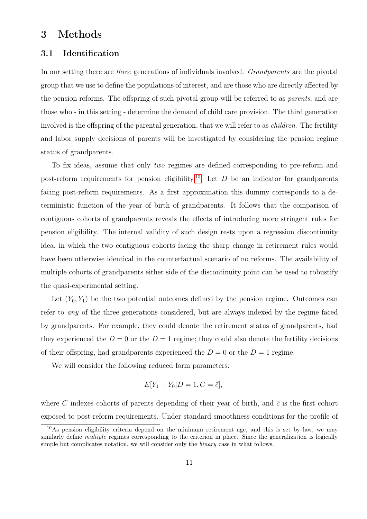## <span id="page-10-0"></span>3 Methods

### 3.1 Identification

In our setting there are three generations of individuals involved. Grandparents are the pivotal group that we use to define the populations of interest, and are those who are directly affected by the pension reforms. The offspring of such pivotal group will be referred to as parents, and are those who - in this setting - determine the demand of child care provision. The third generation involved is the offspring of the parental generation, that we will refer to as *children*. The fertility and labor supply decisions of parents will be investigated by considering the pension regime status of grandparents.

To fix ideas, assume that only two regimes are defined corresponding to pre-reform and post-reform requirements for pension eligibility.<sup>[10](#page-10-1)</sup> Let D be an indicator for grandparents facing post-reform requirements. As a first approximation this dummy corresponds to a deterministic function of the year of birth of grandparents. It follows that the comparison of contiguous cohorts of grandparents reveals the effects of introducing more stringent rules for pension eligibility. The internal validity of such design rests upon a regression discontinuity idea, in which the two contiguous cohorts facing the sharp change in retirement rules would have been otherwise identical in the counterfactual scenario of no reforms. The availability of multiple cohorts of grandparents either side of the discontinuity point can be used to robustify the quasi-experimental setting.

Let  $(Y_0, Y_1)$  be the two potential outcomes defined by the pension regime. Outcomes can refer to any of the three generations considered, but are always indexed by the regime faced by grandparents. For example, they could denote the retirement status of grandparents, had they experienced the  $D = 0$  or the  $D = 1$  regime; they could also denote the fertility decisions of their offspring, had grandparents experienced the  $D = 0$  or the  $D = 1$  regime.

We will consider the following reduced form parameters:

$$
E[Y_1 - Y_0 | D = 1, C = \bar{c}],
$$

where C indexes cohorts of parents depending of their year of birth, and  $\bar{c}$  is the first cohort exposed to post-reform requirements. Under standard smoothness conditions for the profile of

<span id="page-10-1"></span><sup>10</sup>As pension eligibility criteria depend on the minimum retirement age, and this is set by law, we may similarly define *multiple* regimes corresponding to the criterion in place. Since the generalization is logically simple but complicates notation, we will consider only the *binary* case in what follows.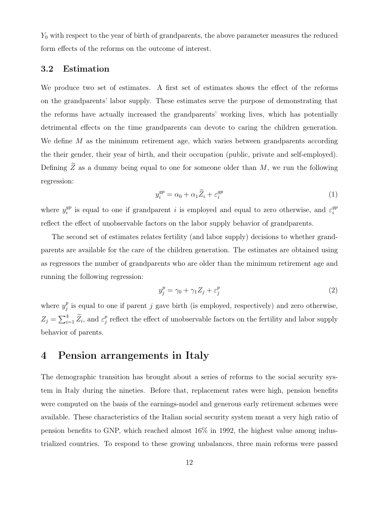$Y_0$  with respect to the year of birth of grandparents, the above parameter measures the reduced form effects of the reforms on the outcome of interest.

#### 3.2 Estimation

We produce two set of estimates. A first set of estimates shows the effect of the reforms on the grandparents' labor supply. These estimates serve the purpose of demonstrating that the reforms have actually increased the grandparents' working lives, which has potentially detrimental effects on the time grandparents can devote to caring the children generation. We define M as the minimum retirement age, which varies between grandparents according the their gender, their year of birth, and their occupation (public, private and self-employed). Defining  $\widetilde{Z}$  as a dummy being equal to one for someone older than  $M$ , we run the following regression:

<span id="page-11-1"></span>
$$
y_i^{gp} = \alpha_0 + \alpha_1 \widetilde{Z}_i + \varepsilon_i^{gp} \tag{1}
$$

where  $y_i^{gp}$  $i$ <sup>gp</sup> is equal to one if grandparent *i* is employed and equal to zero otherwise, and  $\varepsilon_i^{gp}$ i reflect the effect of unobservable factors on the labor supply behavior of grandparents.

The second set of estimates relates fertility (and labor supply) decisions to whether grandparents are available for the care of the children generation. The estimates are obtained using as regressors the number of grandparents who are older than the minimum retirement age and running the following regression:

<span id="page-11-2"></span>
$$
y_j^p = \gamma_0 + \gamma_1 Z_j + \varepsilon_j^p \tag{2}
$$

where  $y_i^p$  $_j^p$  is equal to one if parent j gave birth (is employed, respectively) and zero otherwise,  $Z_j = \sum_{i=1}^4 \widetilde{Z}_i$ , and  $\varepsilon_j^p$  $\frac{p}{j}$  reflect the effect of unobservable factors on the fertility and labor supply behavior of parents.

## <span id="page-11-0"></span>4 Pension arrangements in Italy

The demographic transition has brought about a series of reforms to the social security system in Italy during the nineties. Before that, replacement rates were high, pension benefits were computed on the basis of the earnings-model and generous early retirement schemes were available. These characteristics of the Italian social security system meant a very high ratio of pension benefits to GNP, which reached almost 16% in 1992, the highest value among industrialized countries. To respond to these growing unbalances, three main reforms were passed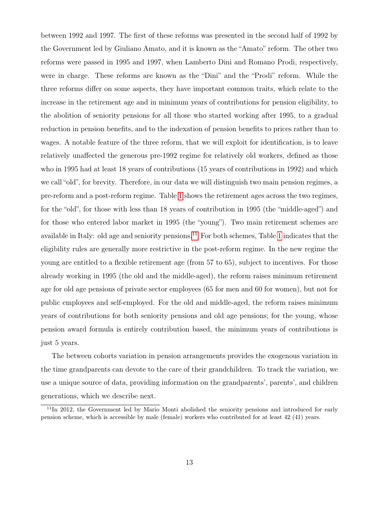between 1992 and 1997. The first of these reforms was presented in the second half of 1992 by the Government led by Giuliano Amato, and it is known as the "Amato" reform. The other two reforms were passed in 1995 and 1997, when Lamberto Dini and Romano Prodi, respectively, were in charge. These reforms are known as the "Dini" and the "Prodi" reform. While the three reforms differ on some aspects, they have important common traits, which relate to the increase in the retirement age and in minimum years of contributions for pension eligibility, to the abolition of seniority pensions for all those who started working after 1995, to a gradual reduction in pension benefits, and to the indexation of pension benefits to prices rather than to wages. A notable feature of the three reform, that we will exploit for identification, is to leave relatively unaffected the generous pre-1992 regime for relatively old workers, defined as those who in 1995 had at least 18 years of contributions (15 years of contributions in 1992) and which we call "old", for brevity. Therefore, in our data we will distinguish two main pension regimes, a pre-reform and a post-reform regime. Table [1](#page-27-0) shows the retirement ages across the two regimes, for the "old", for those with less than 18 years of contribution in 1995 (the "middle-aged") and for those who entered labor market in 1995 (the "young"). Two main retirement schemes are available in Italy: old age and seniority pensions.<sup>[11](#page-12-0)</sup> For both schemes, Table [1](#page-27-0) indicates that the eligibility rules are generally more restrictive in the post-reform regime. In the new regime the young are entitled to a flexible retirement age (from 57 to 65), subject to incentives. For those already working in 1995 (the old and the middle-aged), the reform raises minimum retirement age for old age pensions of private sector employees (65 for men and 60 for women), but not for public employees and self-employed. For the old and middle-aged, the reform raises minimum years of contributions for both seniority pensions and old age pensions; for the young, whose pension award formula is entirely contribution based, the minimum years of contributions is just 5 years.

The between cohorts variation in pension arrangements provides the exogenous variation in the time grandparents can devote to the care of their grandchildren. To track the variation, we use a unique source of data, providing information on the grandparents', parents', and children generations, which we describe next.

<span id="page-12-0"></span><sup>&</sup>lt;sup>11</sup>In 2012, the Government led by Mario Monti abolished the seniority pensions and introduced for early pension scheme, which is accessible by male (female) workers who contributed for at least 42 (41) years.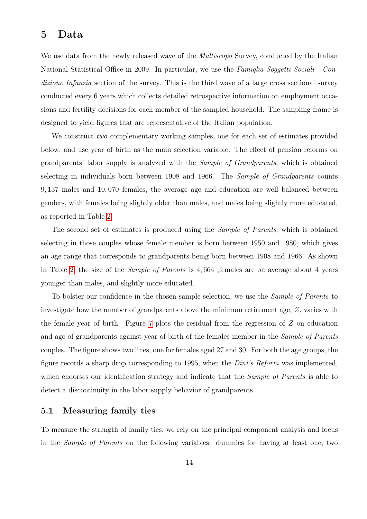## <span id="page-13-0"></span>5 Data

We use data from the newly released wave of the *Multiscopo* Survey, conducted by the Italian National Statistical Office in 2009. In particular, we use the Famiglia Soggetti Sociali - Condizione Infanzia section of the survey. This is the third wave of a large cross sectional survey conducted every 6 years which collects detailed retrospective information on employment occasions and fertility decisions for each member of the sampled household. The sampling frame is designed to yield figures that are representative of the Italian population.

We construct two complementary working samples, one for each set of estimates provided below, and use year of birth as the main selection variable. The effect of pension reforms on grandparents' labor supply is analyzed with the Sample of Grandparents, which is obtained selecting in individuals born between 1908 and 1966. The Sample of Grandparents counts 9, 137 males and 10, 070 females, the average age and education are well balanced between genders, with females being slightly older than males, and males being slightly more educated, as reported in Table [2.](#page-28-0)

The second set of estimates is produced using the Sample of Parents, which is obtained selecting in those couples whose female member is born between 1950 and 1980, which gives an age range that corresponds to grandparents being born between 1908 and 1966. As shown in Table [2,](#page-28-0) the size of the Sample of Parents is 4, 664 ,females are on average about 4 years younger than males, and slightly more educated.

To bolster our confidence in the chosen sample selection, we use the Sample of Parents to investigate how the number of grandparents above the minimum retirement age, Z, varies with the female year of birth. Figure [7](#page-35-0) plots the residual from the regression of Z on education and age of grandparents against year of birth of the females member in the *Sample of Parents* couples. The figure shows two lines, one for females aged 27 and 30. For both the age groups, the figure records a sharp drop corresponding to 1995, when the Dini's Reform was implemented, which endorses our identification strategy and indicate that the *Sample of Parents* is able to detect a discontinuity in the labor supply behavior of grandparents.

#### 5.1 Measuring family ties

To measure the strength of family ties, we rely on the principal component analysis and focus in the Sample of Parents on the following variables: dummies for having at least one, two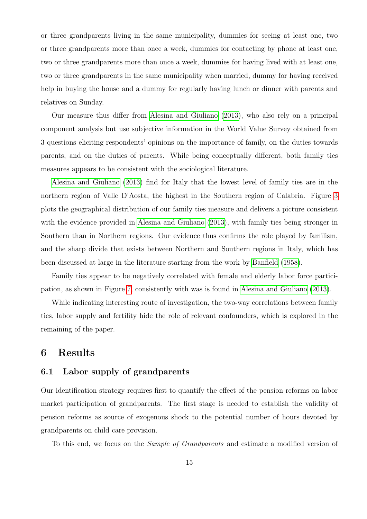or three grandparents living in the same municipality, dummies for seeing at least one, two or three grandparents more than once a week, dummies for contacting by phone at least one, two or three grandparents more than once a week, dummies for having lived with at least one, two or three grandparents in the same municipality when married, dummy for having received help in buying the house and a dummy for regularly having lunch or dinner with parents and relatives on Sunday.

Our measure thus differ from [Alesina and Giuliano](#page-20-8) [\(2013\)](#page-20-8), who also rely on a principal component analysis but use subjective information in the World Value Survey obtained from 3 questions eliciting respondents' opinions on the importance of family, on the duties towards parents, and on the duties of parents. While being conceptually different, both family ties measures appears to be consistent with the sociological literature.

[Alesina and Giuliano](#page-20-8) [\(2013\)](#page-20-8) find for Italy that the lowest level of family ties are in the northern region of Valle D'Aosta, the highest in the Southern region of Calabria. Figure [3](#page-36-0) plots the geographical distribution of our family ties measure and delivers a picture consistent with the evidence provided in [Alesina and Giuliano](#page-20-8) [\(2013\)](#page-20-8), with family ties being stronger in Southern than in Northern regions. Our evidence thus confirms the role played by familism, and the sharp divide that exists between Northern and Southern regions in Italy, which has been discussed at large in the literature starting from the work by [Banfield](#page-20-9) [\(1958\)](#page-20-9).

Family ties appear to be negatively correlated with female and elderly labor force participation, as shown in Figure [7,](#page-36-0) consistently with was is found in [Alesina and Giuliano](#page-20-8) [\(2013\)](#page-20-8).

While indicating interesting route of investigation, the two-way correlations between family ties, labor supply and fertility hide the role of relevant confounders, which is explored in the remaining of the paper.

## <span id="page-14-0"></span>6 Results

### 6.1 Labor supply of grandparents

Our identification strategy requires first to quantify the effect of the pension reforms on labor market participation of grandparents. The first stage is needed to establish the validity of pension reforms as source of exogenous shock to the potential number of hours devoted by grandparents on child care provision.

To this end, we focus on the Sample of Grandparents and estimate a modified version of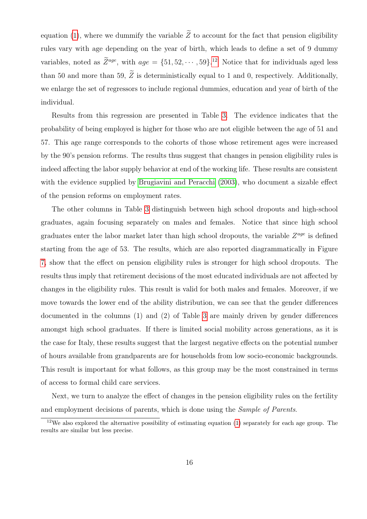equation [\(1\)](#page-11-1), where we dummify the variable  $\widetilde{Z}$  to account for the fact that pension eligibility rules vary with age depending on the year of birth, which leads to define a set of 9 dummy variables, noted as  $\overline{Z}^{age}$ , with  $age = \{51, 52, \dots, 59\}$ <sup>[12](#page-15-0)</sup> Notice that for individuals aged less than 50 and more than 59,  $\widetilde{Z}$  is deterministically equal to 1 and 0, respectively. Additionally, we enlarge the set of regressors to include regional dummies, education and year of birth of the individual.

Results from this regression are presented in Table [3.](#page-28-1) The evidence indicates that the probability of being employed is higher for those who are not eligible between the age of 51 and 57. This age range corresponds to the cohorts of those whose retirement ages were increased by the 90's pension reforms. The results thus suggest that changes in pension eligibility rules is indeed affecting the labor supply behavior at end of the working life. These results are consistent with the evidence supplied by [Brugiavini and Peracchi](#page-21-8) [\(2003\)](#page-21-8), who document a sizable effect of the pension reforms on employment rates.

The other columns in Table [3](#page-28-1) distinguish between high school dropouts and high-school graduates, again focusing separately on males and females. Notice that since high school graduates enter the labor market later than high school dropouts, the variable  $Z^{age}$  is defined starting from the age of 53. The results, which are also reported diagrammatically in Figure [7,](#page-36-0) show that the effect on pension eligibility rules is stronger for high school dropouts. The results thus imply that retirement decisions of the most educated individuals are not affected by changes in the eligibility rules. This result is valid for both males and females. Moreover, if we move towards the lower end of the ability distribution, we can see that the gender differences documented in the columns (1) and (2) of Table [3](#page-28-1) are mainly driven by gender differences amongst high school graduates. If there is limited social mobility across generations, as it is the case for Italy, these results suggest that the largest negative effects on the potential number of hours available from grandparents are for households from low socio-economic backgrounds. This result is important for what follows, as this group may be the most constrained in terms of access to formal child care services.

Next, we turn to analyze the effect of changes in the pension eligibility rules on the fertility and employment decisions of parents, which is done using the Sample of Parents.

<span id="page-15-0"></span><sup>&</sup>lt;sup>12</sup>We also explored the alternative possibility of estimating equation  $(1)$  separately for each age group. The results are similar but less precise.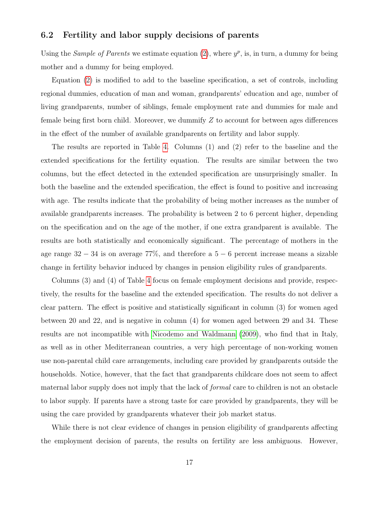#### 6.2 Fertility and labor supply decisions of parents

Using the Sample of Parents we estimate equation [\(2\)](#page-11-2), where  $y^p$ , is, in turn, a dummy for being mother and a dummy for being employed.

Equation [\(2\)](#page-11-2) is modified to add to the baseline specification, a set of controls, including regional dummies, education of man and woman, grandparents' education and age, number of living grandparents, number of siblings, female employment rate and dummies for male and female being first born child. Moreover, we dummify  $Z$  to account for between ages differences in the effect of the number of available grandparents on fertility and labor supply.

The results are reported in Table [4.](#page-29-0) Columns (1) and (2) refer to the baseline and the extended specifications for the fertility equation. The results are similar between the two columns, but the effect detected in the extended specification are unsurprisingly smaller. In both the baseline and the extended specification, the effect is found to positive and increasing with age. The results indicate that the probability of being mother increases as the number of available grandparents increases. The probability is between 2 to 6 percent higher, depending on the specification and on the age of the mother, if one extra grandparent is available. The results are both statistically and economically significant. The percentage of mothers in the age range  $32 - 34$  is on average  $77\%$ , and therefore a  $5 - 6$  percent increase means a sizable change in fertility behavior induced by changes in pension eligibility rules of grandparents.

Columns (3) and (4) of Table [4](#page-29-0) focus on female employment decisions and provide, respectively, the results for the baseline and the extended specification. The results do not deliver a clear pattern. The effect is positive and statistically significant in column (3) for women aged between 20 and 22, and is negative in column (4) for women aged between 29 and 34. These results are not incompatible with [Nicodemo and Waldmann](#page-24-1) [\(2009\)](#page-24-1), who find that in Italy, as well as in other Mediterranean countries, a very high percentage of non-working women use non-parental child care arrangements, including care provided by grandparents outside the households. Notice, however, that the fact that grandparents childcare does not seem to affect maternal labor supply does not imply that the lack of formal care to children is not an obstacle to labor supply. If parents have a strong taste for care provided by grandparents, they will be using the care provided by grandparents whatever their job market status.

While there is not clear evidence of changes in pension eligibility of grandparents affecting the employment decision of parents, the results on fertility are less ambiguous. However,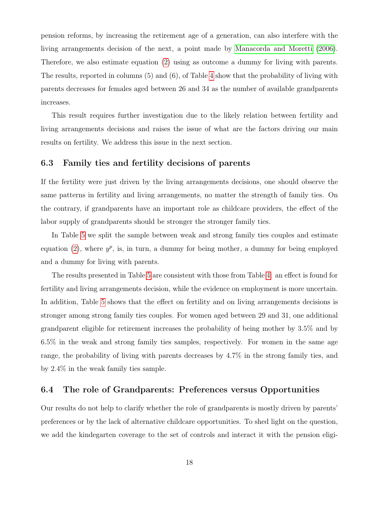pension reforms, by increasing the retirement age of a generation, can also interfere with the living arrangements decision of the next, a point made by [Manacorda and Moretti](#page-23-1) [\(2006\)](#page-23-1). Therefore, we also estimate equation [\(2\)](#page-11-2) using as outcome a dummy for living with parents. The results, reported in columns (5) and (6), of Table [4](#page-29-0) show that the probability of living with parents decreases for females aged between 26 and 34 as the number of available grandparents increases.

This result requires further investigation due to the likely relation between fertility and living arrangements decisions and raises the issue of what are the factors driving our main results on fertility. We address this issue in the next section.

#### 6.3 Family ties and fertility decisions of parents

If the fertility were just driven by the living arrangements decisions, one should observe the same patterns in fertility and living arrangements, no matter the strength of family ties. On the contrary, if grandparents have an important role as childcare providers, the effect of the labor supply of grandparents should be stronger the stronger family ties.

In Table [5](#page-29-1) we split the sample between weak and strong family ties couples and estimate equation [\(2\)](#page-11-2), where  $y^p$ , is, in turn, a dummy for being mother, a dummy for being employed and a dummy for living with parents.

The results presented in Table [5](#page-29-1) are consistent with those from Table [4:](#page-29-0) an effect is found for fertility and living arrangements decision, while the evidence on employment is more uncertain. In addition, Table [5](#page-29-1) shows that the effect on fertility and on living arrangements decisions is stronger among strong family ties couples. For women aged between 29 and 31, one additional grandparent eligible for retirement increases the probability of being mother by 3.5% and by 6.5% in the weak and strong family ties samples, respectively. For women in the same age range, the probability of living with parents decreases by 4.7% in the strong family ties, and by 2.4% in the weak family ties sample.

#### 6.4 The role of Grandparents: Preferences versus Opportunities

Our results do not help to clarify whether the role of grandparents is mostly driven by parents' preferences or by the lack of alternative childcare opportunities. To shed light on the question, we add the kindegarten coverage to the set of controls and interact it with the pension eligi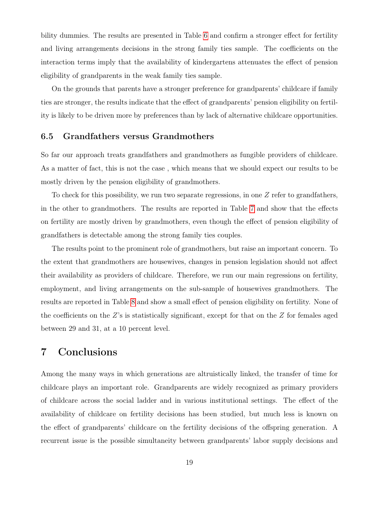bility dummies. The results are presented in Table [6](#page-30-0) and confirm a stronger effect for fertility and living arrangements decisions in the strong family ties sample. The coefficients on the interaction terms imply that the availability of kindergartens attenuates the effect of pension eligibility of grandparents in the weak family ties sample.

On the grounds that parents have a stronger preference for grandparents' childcare if family ties are stronger, the results indicate that the effect of grandparents' pension eligibility on fertility is likely to be driven more by preferences than by lack of alternative childcare opportunities.

#### 6.5 Grandfathers versus Grandmothers

So far our approach treats grandfathers and grandmothers as fungible providers of childcare. As a matter of fact, this is not the case , which means that we should expect our results to be mostly driven by the pension eligibility of grandmothers.

To check for this possibility, we run two separate regressions, in one  $Z$  refer to grandfathers, in the other to grandmothers. The results are reported in Table [7](#page-31-0) and show that the effects on fertility are mostly driven by grandmothers, even though the effect of pension eligibility of grandfathers is detectable among the strong family ties couples.

The results point to the prominent role of grandmothers, but raise an important concern. To the extent that grandmothers are housewives, changes in pension legislation should not affect their availability as providers of childcare. Therefore, we run our main regressions on fertility, employment, and living arrangements on the sub-sample of housewives grandmothers. The results are reported in Table [8](#page-32-0) and show a small effect of pension eligibility on fertility. None of the coefficients on the Z's is statistically significant, except for that on the Z for females aged between 29 and 31, at a 10 percent level.

## <span id="page-18-0"></span>7 Conclusions

Among the many ways in which generations are altruistically linked, the transfer of time for childcare plays an important role. Grandparents are widely recognized as primary providers of childcare across the social ladder and in various institutional settings. The effect of the availability of childcare on fertility decisions has been studied, but much less is known on the effect of grandparents' childcare on the fertility decisions of the offspring generation. A recurrent issue is the possible simultaneity between grandparents' labor supply decisions and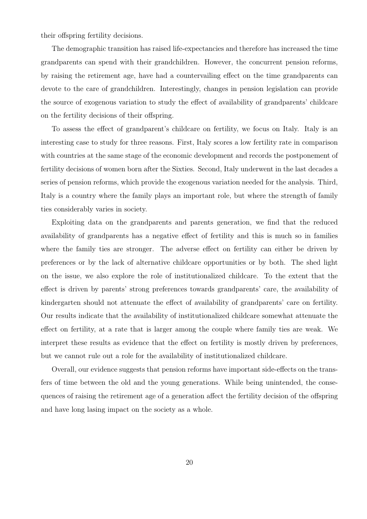their offspring fertility decisions.

The demographic transition has raised life-expectancies and therefore has increased the time grandparents can spend with their grandchildren. However, the concurrent pension reforms, by raising the retirement age, have had a countervailing effect on the time grandparents can devote to the care of grandchildren. Interestingly, changes in pension legislation can provide the source of exogenous variation to study the effect of availability of grandparents' childcare on the fertility decisions of their offspring.

To assess the effect of grandparent's childcare on fertility, we focus on Italy. Italy is an interesting case to study for three reasons. First, Italy scores a low fertility rate in comparison with countries at the same stage of the economic development and records the postponement of fertility decisions of women born after the Sixties. Second, Italy underwent in the last decades a series of pension reforms, which provide the exogenous variation needed for the analysis. Third, Italy is a country where the family plays an important role, but where the strength of family ties considerably varies in society.

Exploiting data on the grandparents and parents generation, we find that the reduced availability of grandparents has a negative effect of fertility and this is much so in families where the family ties are stronger. The adverse effect on fertility can either be driven by preferences or by the lack of alternative childcare opportunities or by both. The shed light on the issue, we also explore the role of institutionalized childcare. To the extent that the effect is driven by parents' strong preferences towards grandparents' care, the availability of kindergarten should not attenuate the effect of availability of grandparents' care on fertility. Our results indicate that the availability of institutionalized childcare somewhat attenuate the effect on fertility, at a rate that is larger among the couple where family ties are weak. We interpret these results as evidence that the effect on fertility is mostly driven by preferences, but we cannot rule out a role for the availability of institutionalized childcare.

Overall, our evidence suggests that pension reforms have important side-effects on the transfers of time between the old and the young generations. While being unintended, the consequences of raising the retirement age of a generation affect the fertility decision of the offspring and have long lasing impact on the society as a whole.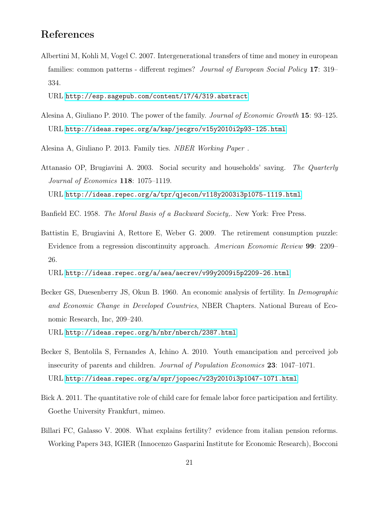## References

<span id="page-20-0"></span>Albertini M, Kohli M, Vogel C. 2007. Intergenerational transfers of time and money in european families: common patterns - different regimes? Journal of European Social Policy 17: 319– 334.

URL <http://esp.sagepub.com/content/17/4/319.abstract>

<span id="page-20-5"></span>Alesina A, Giuliano P. 2010. The power of the family. Journal of Economic Growth 15: 93–125. URL <http://ideas.repec.org/a/kap/jecgro/v15y2010i2p93-125.html>

<span id="page-20-8"></span>Alesina A, Giuliano P. 2013. Family ties. NBER Working Paper .

<span id="page-20-2"></span>Attanasio OP, Brugiavini A. 2003. Social security and households' saving. The Quarterly Journal of Economics 118: 1075–1119. URL <http://ideas.repec.org/a/tpr/qjecon/v118y2003i3p1075-1119.html>

<span id="page-20-9"></span>Banfield EC. 1958. The Moral Basis of a Backward Society,. New York: Free Press.

<span id="page-20-1"></span>Battistin E, Brugiavini A, Rettore E, Weber G. 2009. The retirement consumption puzzle: Evidence from a regression discontinuity approach. American Economic Review 99: 2209– 26.

URL <http://ideas.repec.org/a/aea/aecrev/v99y2009i5p2209-26.html>

- <span id="page-20-7"></span>Becker GS, Duesenberry JS, Okun B. 1960. An economic analysis of fertility. In Demographic and Economic Change in Developed Countries, NBER Chapters. National Bureau of Economic Research, Inc, 209–240. URL <http://ideas.repec.org/h/nbr/nberch/2387.html>
- <span id="page-20-4"></span>Becker S, Bentolila S, Fernandes A, Ichino A. 2010. Youth emancipation and perceived job insecurity of parents and children. Journal of Population Economics 23: 1047–1071. URL <http://ideas.repec.org/a/spr/jopoec/v23y2010i3p1047-1071.html>
- <span id="page-20-6"></span>Bick A. 2011. The quantitative role of child care for female labor force participation and fertility. Goethe University Frankfurt, mimeo.
- <span id="page-20-3"></span>Billari FC, Galasso V. 2008. What explains fertility? evidence from italian pension reforms. Working Papers 343, IGIER (Innocenzo Gasparini Institute for Economic Research), Bocconi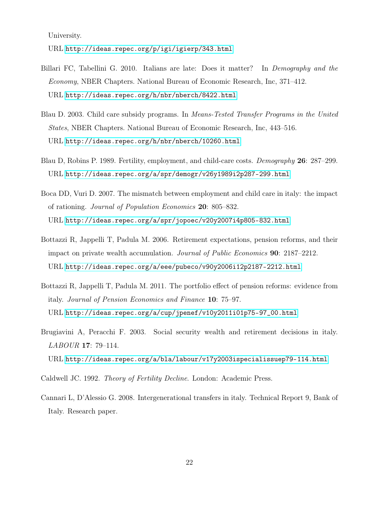University.

URL <http://ideas.repec.org/p/igi/igierp/343.html>

- <span id="page-21-2"></span>Billari FC, Tabellini G. 2010. Italians are late: Does it matter? In Demography and the Economy, NBER Chapters. National Bureau of Economic Research, Inc, 371–412. URL <http://ideas.repec.org/h/nbr/nberch/8422.html>
- <span id="page-21-6"></span>Blau D. 2003. Child care subsidy programs. In Means-Tested Transfer Programs in the United States, NBER Chapters. National Bureau of Economic Research, Inc, 443–516. URL <http://ideas.repec.org/h/nbr/nberch/10260.html>
- <span id="page-21-4"></span>Blau D, Robins P. 1989. Fertility, employment, and child-care costs. Demography 26: 287–299. URL <http://ideas.repec.org/a/spr/demogr/v26y1989i2p287-299.html>
- <span id="page-21-5"></span>Boca DD, Vuri D. 2007. The mismatch between employment and child care in italy: the impact of rationing. Journal of Population Economics 20: 805–832. URL <http://ideas.repec.org/a/spr/jopoec/v20y2007i4p805-832.html>
- <span id="page-21-0"></span>Bottazzi R, Jappelli T, Padula M. 2006. Retirement expectations, pension reforms, and their impact on private wealth accumulation. Journal of Public Economics 90: 2187–2212. URL <http://ideas.repec.org/a/eee/pubeco/v90y2006i12p2187-2212.html>
- <span id="page-21-1"></span>Bottazzi R, Jappelli T, Padula M. 2011. The portfolio effect of pension reforms: evidence from italy. Journal of Pension Economics and Finance 10: 75–97. URL [http://ideas.repec.org/a/cup/jpenef/v10y2011i01p75-97\\_00.html](http://ideas.repec.org/a/cup/jpenef/v10y2011i01p75-97_00.html)
- <span id="page-21-8"></span>Brugiavini A, Peracchi F. 2003. Social security wealth and retirement decisions in italy. LABOUR 17: 79–114. URL <http://ideas.repec.org/a/bla/labour/v17y2003ispecialissuep79-114.html>
- <span id="page-21-7"></span>Caldwell JC. 1992. Theory of Fertility Decline. London: Academic Press.
- <span id="page-21-3"></span>Cannari L, D'Alessio G. 2008. Intergenerational transfers in italy. Technical Report 9, Bank of Italy. Research paper.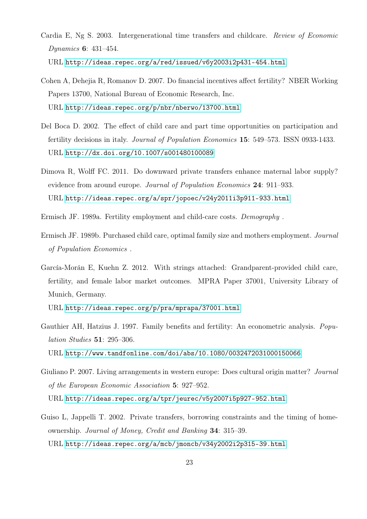- <span id="page-22-0"></span>Cardia E, Ng S. 2003. Intergenerational time transfers and childcare. Review of Economic Dynamics 6: 431–454. URL <http://ideas.repec.org/a/red/issued/v6y2003i2p431-454.html>
- <span id="page-22-9"></span>Cohen A, Dehejia R, Romanov D. 2007. Do financial incentives affect fertility? NBER Working Papers 13700, National Bureau of Economic Research, Inc. URL <http://ideas.repec.org/p/nbr/nberwo/13700.html>
- <span id="page-22-4"></span>Del Boca D. 2002. The effect of child care and part time opportunities on participation and fertility decisions in italy. Journal of Population Economics 15: 549–573. ISSN 0933-1433. URL <http://dx.doi.org/10.1007/s001480100089>
- <span id="page-22-5"></span>Dimova R, Wolff FC. 2011. Do downward private transfers enhance maternal labor supply? evidence from around europe. Journal of Population Economics 24: 911–933. URL <http://ideas.repec.org/a/spr/jopoec/v24y2011i3p911-933.html>
- <span id="page-22-6"></span>Ermisch JF. 1989a. Fertility employment and child-care costs. Demography .
- <span id="page-22-7"></span>Ermisch JF. 1989b. Purchased child care, optimal family size and mothers employment. Journal of Population Economics .
- <span id="page-22-1"></span>García-Morán E, Kuehn Z. 2012. With strings attached: Grandparent-provided child care, fertility, and female labor market outcomes. MPRA Paper 37001, University Library of Munich, Germany.

URL <http://ideas.repec.org/p/pra/mprapa/37001.html>

- <span id="page-22-8"></span>Gauthier AH, Hatzius J. 1997. Family benefits and fertility: An econometric analysis. Population Studies 51: 295–306. URL <http://www.tandfonline.com/doi/abs/10.1080/0032472031000150066>
- <span id="page-22-2"></span>Giuliano P. 2007. Living arrangements in western europe: Does cultural origin matter? *Journal* of the European Economic Association 5: 927–952.
	- URL <http://ideas.repec.org/a/tpr/jeurec/v5y2007i5p927-952.html>
- <span id="page-22-3"></span>Guiso L, Jappelli T. 2002. Private transfers, borrowing constraints and the timing of homeownership. Journal of Money, Credit and Banking 34: 315–39. URL <http://ideas.repec.org/a/mcb/jmoncb/v34y2002i2p315-39.html>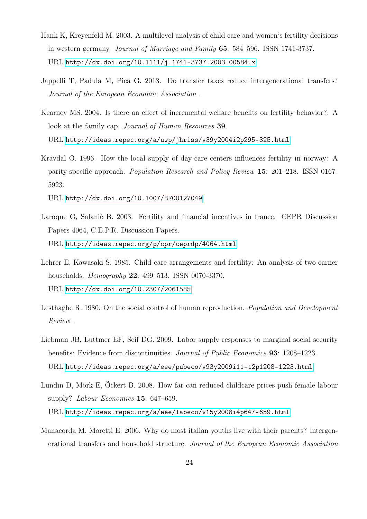- <span id="page-23-7"></span>Hank K, Kreyenfeld M. 2003. A multilevel analysis of child care and women's fertility decisions in western germany. Journal of Marriage and Family 65: 584–596. ISSN 1741-3737. URL <http://dx.doi.org/10.1111/j.1741-3737.2003.00584.x>
- <span id="page-23-2"></span>Jappelli T, Padula M, Pica G. 2013. Do transfer taxes reduce intergenerational transfers? Journal of the European Economic Association .
- <span id="page-23-8"></span>Kearney MS. 2004. Is there an effect of incremental welfare benefits on fertility behavior?: A look at the family cap. *Journal of Human Resources* 39. URL <http://ideas.repec.org/a/uwp/jhriss/v39y2004i2p295-325.html>
- <span id="page-23-6"></span>Kravdal O. 1996. How the local supply of day-care centers influences fertility in norway: A parity-specific approach. Population Research and Policy Review 15: 201–218. ISSN 0167- 5923.

URL <http://dx.doi.org/10.1007/BF00127049>

- <span id="page-23-9"></span>Laroque G, Salanié B. 2003. Fertility and financial incentives in france. CEPR Discussion Papers 4064, C.E.P.R. Discussion Papers. URL <http://ideas.repec.org/p/cpr/ceprdp/4064.html>
- <span id="page-23-5"></span>Lehrer E, Kawasaki S. 1985. Child care arrangements and fertility: An analysis of two-earner households. Demography 22: 499–513. ISSN 0070-3370. URL <http://dx.doi.org/10.2307/2061585>
- <span id="page-23-4"></span>Lesthaghe R. 1980. On the social control of human reproduction. Population and Development Review .
- <span id="page-23-0"></span>Liebman JB, Luttmer EF, Seif DG. 2009. Labor supply responses to marginal social security benefits: Evidence from discontinuities. Journal of Public Economics 93: 1208–1223. URL <http://ideas.repec.org/a/eee/pubeco/v93y2009i11-12p1208-1223.html>
- <span id="page-23-3"></span>Lundin D, Mörk E, Öckert B. 2008. How far can reduced childcare prices push female labour supply? Labour Economics 15: 647-659. URL <http://ideas.repec.org/a/eee/labeco/v15y2008i4p647-659.html>
- <span id="page-23-1"></span>Manacorda M, Moretti E. 2006. Why do most italian youths live with their parents? intergenerational transfers and household structure. Journal of the European Economic Association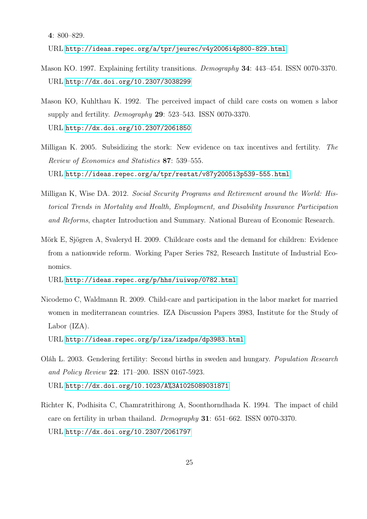4: 800–829.

URL <http://ideas.repec.org/a/tpr/jeurec/v4y2006i4p800-829.html>

- <span id="page-24-2"></span>Mason KO. 1997. Explaining fertility transitions. Demography 34: 443–454. ISSN 0070-3370. URL <http://dx.doi.org/10.2307/3038299>
- <span id="page-24-3"></span>Mason KO, Kuhlthau K. 1992. The perceived impact of child care costs on women s labor supply and fertility. *Demography* **29**: 523–543. ISSN 0070-3370. URL <http://dx.doi.org/10.2307/2061850>
- <span id="page-24-7"></span>Milligan K. 2005. Subsidizing the stork: New evidence on tax incentives and fertility. The Review of Economics and Statistics 87: 539–555. URL <http://ideas.repec.org/a/tpr/restat/v87y2005i3p539-555.html>
- <span id="page-24-0"></span>Milligan K, Wise DA. 2012. Social Security Programs and Retirement around the World: Historical Trends in Mortality and Health, Employment, and Disability Insurance Participation and Reforms, chapter Introduction and Summary. National Bureau of Economic Research.
- <span id="page-24-6"></span>Mörk E, Sjögren A, Svaleryd H. 2009. Childcare costs and the demand for children: Evidence from a nationwide reform. Working Paper Series 782, Research Institute of Industrial Economics.

URL <http://ideas.repec.org/p/hhs/iuiwop/0782.html>

<span id="page-24-1"></span>Nicodemo C, Waldmann R. 2009. Child-care and participation in the labor market for married women in mediterranean countries. IZA Discussion Papers 3983, Institute for the Study of Labor (IZA).

URL <http://ideas.repec.org/p/iza/izadps/dp3983.html>

- <span id="page-24-5"></span>Oláh L. 2003. Gendering fertility: Second births in sweden and hungary. Population Research and Policy Review 22: 171–200. ISSN 0167-5923. URL <http://dx.doi.org/10.1023/A%3A1025089031871>
- <span id="page-24-4"></span>Richter K, Podhisita C, Chamratrithirong A, Soonthorndhada K. 1994. The impact of child care on fertility in urban thailand. Demography 31: 651–662. ISSN 0070-3370. URL <http://dx.doi.org/10.2307/2061797>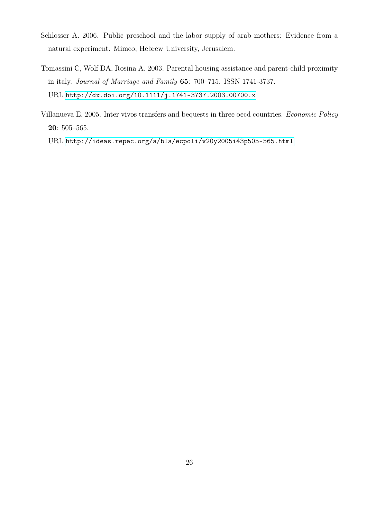- <span id="page-25-2"></span>Schlosser A. 2006. Public preschool and the labor supply of arab mothers: Evidence from a natural experiment. Mimeo, Hebrew University, Jerusalem.
- <span id="page-25-1"></span>Tomassini C, Wolf DA, Rosina A. 2003. Parental housing assistance and parent-child proximity in italy. Journal of Marriage and Family 65: 700–715. ISSN 1741-3737. URL <http://dx.doi.org/10.1111/j.1741-3737.2003.00700.x>
- <span id="page-25-0"></span>Villanueva E. 2005. Inter vivos transfers and bequests in three oecd countries. Economic Policy 20: 505–565.

URL <http://ideas.repec.org/a/bla/ecpoli/v20y2005i43p505-565.html>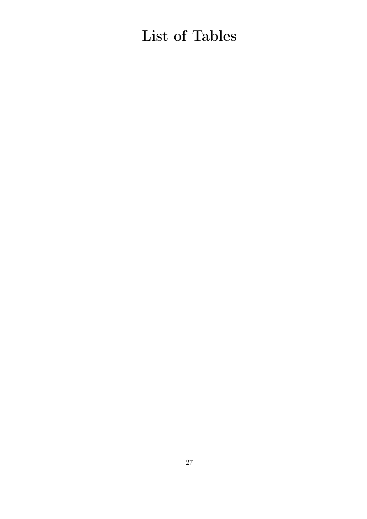# List of Tables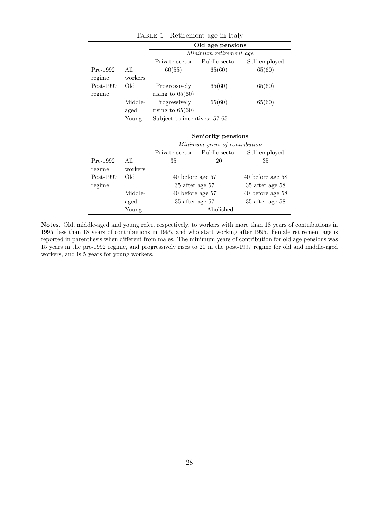|                       |                 | Old age pensions                    |                        |               |  |  |  |
|-----------------------|-----------------|-------------------------------------|------------------------|---------------|--|--|--|
|                       |                 |                                     | Minimum retirement age |               |  |  |  |
|                       |                 | Private-sector                      | Public-sector          | Self-employed |  |  |  |
| $Pre-1992$<br>regime  | All<br>workers  | 60(55)                              | 65(60)                 | 65(60)        |  |  |  |
| $Post-1997$<br>regime | Old             | Progressively<br>rising to $65(60)$ | 65(60)                 | 65(60)        |  |  |  |
|                       | Middle-<br>aged | Progressively<br>rising to $65(60)$ | 65(60)                 | 65(60)        |  |  |  |
|                       | Young           | Subject to incentives: 57-65        |                        |               |  |  |  |

<span id="page-27-0"></span>Table 1. Retirement age in Italy

|             |         | Seniority pensions |                               |                      |  |  |  |
|-------------|---------|--------------------|-------------------------------|----------------------|--|--|--|
|             |         |                    | Minimum years of contribution |                      |  |  |  |
|             |         | Private-sector     | Public-sector                 | Self-employed        |  |  |  |
| Pre-1992    | All     | 35                 | 20                            | 35                   |  |  |  |
| regime      | workers |                    |                               |                      |  |  |  |
| $Post-1997$ | Old     | 40 before age 57   |                               | 40 before age 58     |  |  |  |
| regime      |         | 35 after age 57    |                               | 35 after age 58      |  |  |  |
|             | Middle- | 40 before age 57   |                               | $40$ before age $58$ |  |  |  |
|             | aged    | 35 after age 57    |                               | 35 after age 58      |  |  |  |
|             | Young   |                    | Abolished                     |                      |  |  |  |

Notes. Old, middle-aged and young refer, respectively, to workers with more than 18 years of contributions in 1995, less than 18 years of contributions in 1995, and who start working after 1995. Female retirement age is reported in parenthesis when different from males. The minimum years of contribution for old age pensions was 15 years in the pre-1992 regime, and progressively rises to 20 in the post-1997 regime for old and middle-aged workers, and is 5 years for young workers.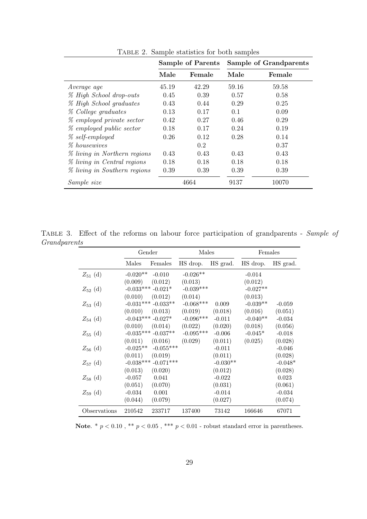|                                  | <b>Sample of Parents</b> |        |       | Sample of Grandparents |
|----------------------------------|--------------------------|--------|-------|------------------------|
|                                  | Male                     | Female | Male  | Female                 |
| Average age                      | 45.19                    | 42.29  | 59.16 | 59.58                  |
| % High School drop-outs          | 0.45                     | 0.39   | 0.57  | 0.58                   |
| % High School graduates          | 0.43                     | 0.44   | 0.29  | 0.25                   |
| % College graduates              | 0.13                     | 0.17   | 0.1   | 0.09                   |
| <i>%</i> employed private sector | 0.42                     | 0.27   | 0.46  | 0.29                   |
| % employed public sector         | 0.18                     | 0.17   | 0.24  | 0.19                   |
| $\%$ self-employed               | 0.26                     | 0.12   | 0.28  | 0.14                   |
| <i>%</i> housewives              |                          | 0.2    |       | 0.37                   |
| % living in Northern regions     | 0.43                     | 0.43   | 0.43  | 0.43                   |
| % living in Central regions      | 0.18                     | 0.18   | 0.18  | 0.18                   |
| % living in Southern regions     | 0.39                     | 0.39   | 0.39  | 0.39                   |
| Sample size                      |                          | 4664   | 9137  | 10070                  |

<span id="page-28-0"></span>Table 2. Sample statistics for both samples

TABLE 3. Effect of the reforms on labour force participation of grandparents - Sample of Grandparents  $\overline{\phantom{a}}$ 

<span id="page-28-1"></span>

|              |             | Gender                 |             | Males      | Females    |           |
|--------------|-------------|------------------------|-------------|------------|------------|-----------|
|              | Males       | Females                | HS drop.    | HS grad.   | HS drop.   | HS grad.  |
| $Z_{51}$ (d) | $-0.020**$  | $-0.010$               | $-0.026**$  |            | $-0.014$   |           |
|              | (0.009)     | (0.012)                | (0.013)     |            | (0.012)    |           |
| $Z_{52}$ (d) |             | $-0.033***-0.021*$     | $-0.039***$ |            | $-0.027**$ |           |
|              | (0.010)     | (0.012)                | (0.014)     |            | (0.013)    |           |
| $Z_{53}$ (d) |             | $-0.031***$ $-0.033**$ | $-0.068***$ | 0.009      | $-0.039**$ | $-0.059$  |
|              | (0.010)     | (0.013)                | (0.019)     | (0.018)    | (0.016)    | (0.051)   |
| $Z_{54}$ (d) |             | $-0.043***-0.027*$     | $-0.096***$ | $-0.011$   | $-0.040**$ | $-0.034$  |
|              | (0.010)     | (0.014)                | (0.022)     | (0.020)    | (0.018)    | (0.056)   |
| $Z_{55}$ (d) |             | $-0.035***$ $-0.037**$ | $-0.095***$ | $-0.006$   | $-0.045*$  | $-0.018$  |
|              | (0.011)     | (0.016)                | (0.029)     | (0.011)    | (0.025)    | (0.028)   |
| $Z_{56}$ (d) | $-0.025**$  | $-0.055***$            |             | $-0.011$   |            | $-0.046$  |
|              | (0.011)     | (0.019)                |             | (0.011)    |            | (0.028)   |
| $Z_{57}$ (d) | $-0.038***$ | $-0.071***$            |             | $-0.030**$ |            | $-0.048*$ |
|              | (0.013)     | (0.020)                |             | (0.012)    |            | (0.028)   |
| $Z_{58}$ (d) | $-0.057$    | 0.041                  |             | $-0.022$   |            | 0.023     |
|              | (0.051)     | (0.070)                |             | (0.031)    |            | (0.061)   |
| $Z_{59}$ (d) | $-0.034$    | 0.001                  |             | $-0.014$   |            | $-0.034$  |
|              | (0.044)     | (0.079)                |             | (0.027)    |            | (0.074)   |
| Observations | 210542      | 233717                 | 137400      | 73142      | 166646     | 67071     |

Note. \* $p < 0.10$  , \*\*  $p < 0.05$  , \*\*\*  $p < 0.01$  - robust standard error in parentheses.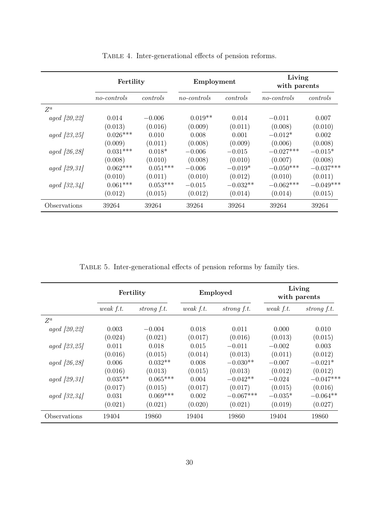|                        | Fertility   |            | Employment  |            | Living<br>with parents |             |
|------------------------|-------------|------------|-------------|------------|------------------------|-------------|
|                        | no-controls | controls   | no-controls | controls   | no-controls            | controls    |
| $Z^a$                  |             |            |             |            |                        |             |
| aged [20, 22]          | 0.014       | $-0.006$   | $0.019**$   | 0.014      | $-0.011$               | 0.007       |
|                        | (0.013)     | (0.016)    | (0.009)     | (0.011)    | (0.008)                | (0.010)     |
| aged [23, 25]          | $0.026***$  | 0.010      | 0.008       | 0.001      | $-0.012*$              | 0.002       |
|                        | (0.009)     | (0.011)    | (0.008)     | (0.009)    | (0.006)                | (0.008)     |
| aged [26, 28]          | $0.031***$  | $0.018*$   | $-0.006$    | $-0.015$   | $-0.027***$            | $-0.015*$   |
|                        | (0.008)     | (0.010)    | (0.008)     | (0.010)    | (0.007)                | (0.008)     |
| <i>aged</i> $[29, 31]$ | $0.062***$  | $0.051***$ | $-0.006$    | $-0.019*$  | $-0.050***$            | $-0.037***$ |
|                        | (0.010)     | (0.011)    | (0.010)     | (0.012)    | (0.010)                | (0.011)     |
| $aged \, [32, 34]$     | $0.061***$  | $0.053***$ | $-0.015$    | $-0.032**$ | $-0.062***$            | $-0.049***$ |
|                        | (0.012)     | (0.015)    | (0.012)     | (0.014)    | (0.014)                | (0.015)     |
| Observations           | 39264       | 39264      | 39264       | 39264      | 39264                  | 39264       |

<span id="page-29-0"></span>TABLE 4. Inter-generational effects of pension reforms.

<span id="page-29-1"></span>Table 5. Inter-generational effects of pension reforms by family ties.

|                        | Fertility   |             | Employed    |             | Living<br>with parents |             |
|------------------------|-------------|-------------|-------------|-------------|------------------------|-------------|
|                        | weak $f.t.$ | strong f.t. | weak $f.t.$ | strong f.t. | weak $f.t.$            | strong f.t. |
| $Z^a$                  |             |             |             |             |                        |             |
| aged [20, 22]          | 0.003       | $-0.004$    | 0.018       | 0.011       | 0.000                  | 0.010       |
|                        | (0.024)     | (0.021)     | (0.017)     | (0.016)     | (0.013)                | (0.015)     |
| aged [23, 25]          | 0.011       | 0.018       | 0.015       | $-0.011$    | $-0.002$               | 0.003       |
|                        | (0.016)     | (0.015)     | (0.014)     | (0.013)     | (0.011)                | (0.012)     |
| aged [26, 28]          | 0.006       | $0.032**$   | 0.008       | $-0.030**$  | $-0.007$               | $-0.021*$   |
|                        | (0.016)     | (0.013)     | (0.015)     | (0.013)     | (0.012)                | (0.012)     |
| aged [29, 31]          | $0.035**$   | $0.065***$  | 0.004       | $-0.042**$  | $-0.024$               | $-0.047***$ |
|                        | (0.017)     | (0.015)     | (0.017)     | (0.017)     | (0.015)                | (0.016)     |
| <i>aged</i> $[32, 34]$ | 0.031       | $0.069***$  | 0.002       | $-0.067***$ | $-0.035*$              | $-0.064**$  |
|                        | (0.021)     | (0.021)     | (0.020)     | (0.021)     | (0.019)                | (0.027)     |
| Observations           | 19404       | 19860       | 19404       | 19860       | 19404                  | 19860       |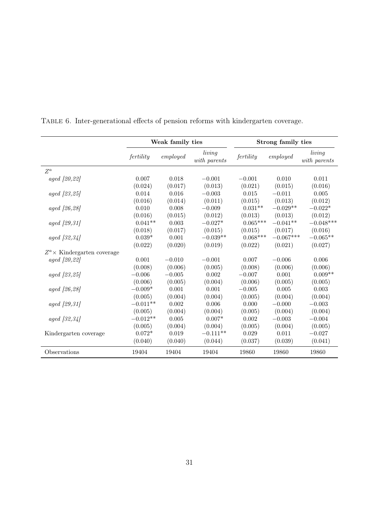|                               | Weak family ties |          |                        | Strong family ties |             |                        |
|-------------------------------|------------------|----------|------------------------|--------------------|-------------|------------------------|
|                               | fertility        | employed | living<br>with parents | fertility          | employed    | living<br>with parents |
| $Z^a$                         |                  |          |                        |                    |             |                        |
| aged [20, 22]                 | 0.007            | 0.018    | $-0.001$               | $-0.001$           | 0.010       | 0.011                  |
|                               | (0.024)          | (0.017)  | (0.013)                | (0.021)            | (0.015)     | (0.016)                |
| aged [23, 25]                 | 0.014            | 0.016    | $-0.003$               | 0.015              | $-0.011$    | 0.005                  |
|                               | (0.016)          | (0.014)  | (0.011)                | (0.015)            | (0.013)     | (0.012)                |
| aged [26,28]                  | 0.010            | 0.008    | $-0.009$               | $0.031**$          | $-0.029**$  | $-0.022*$              |
|                               | (0.016)          | (0.015)  | (0.012)                | (0.013)            | (0.013)     | (0.012)                |
| aged [29, 31]                 | $0.041**$        | 0.003    | $-0.027*$              | $0.065***$         | $-0.041**$  | $-0.048***$            |
|                               | (0.018)          | (0.017)  | (0.015)                | (0.015)            | (0.017)     | (0.016)                |
| aged [32, 34]                 | $0.039*$         | 0.001    | $-0.039**$             | $0.068***$         | $-0.067***$ | $-0.065**$             |
|                               | (0.022)          | (0.020)  | (0.019)                | (0.022)            | (0.021)     | (0.027)                |
| $Z^a$ X Kindergarten coverage |                  |          |                        |                    |             |                        |
| aged [20, 22]                 | 0.001            | $-0.010$ | $-0.001$               | 0.007              | $-0.006$    | 0.006                  |
|                               | (0.008)          | (0.006)  | (0.005)                | (0.008)            | (0.006)     | (0.006)                |
| aged [23, 25]                 | $-0.006$         | $-0.005$ | 0.002                  | $-0.007$           | 0.001       | $0.009**$              |
|                               | (0.006)          | (0.005)  | (0.004)                | (0.006)            | (0.005)     | (0.005)                |
| aged [26,28]                  | $-0.009*$        | 0.001    | 0.001                  | $-0.005$           | 0.005       | 0.003                  |
|                               | (0.005)          | (0.004)  | (0.004)                | (0.005)            | (0.004)     | (0.004)                |
| aged [29, 31]                 | $-0.011**$       | 0.002    | 0.006                  | 0.000              | $-0.000$    | $-0.003$               |
|                               | (0.005)          | (0.004)  | (0.004)                | (0.005)            | (0.004)     | (0.004)                |
| $aged \, [32, 34]$            | $-0.012**$       | 0.005    | $0.007*$               | 0.002              | $-0.003$    | $-0.004$               |
|                               | (0.005)          | (0.004)  | (0.004)                | (0.005)            | (0.004)     | (0.005)                |
| Kindergarten coverage         | $0.072*$         | 0.019    | $-0.111**$             | 0.029              | 0.011       | $-0.027$               |
|                               | (0.040)          | (0.040)  | (0.044)                | (0.037)            | (0.039)     | (0.041)                |
| Observations                  | 19404            | 19404    | 19404                  | 19860              | 19860       | 19860                  |

<span id="page-30-0"></span>Table 6. Inter-generational effects of pension reforms with kindergarten coverage.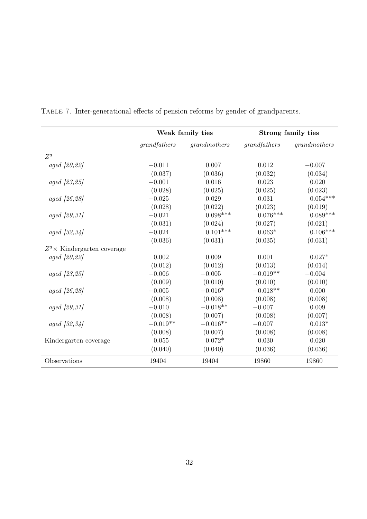|                               | Weak family ties |              |              | Strong family ties |
|-------------------------------|------------------|--------------|--------------|--------------------|
|                               | grandfathers     | grandmothers | grandfathers | grandmothers       |
| $Z^a$                         |                  |              |              |                    |
| aged [20, 22]                 | $-0.011$         | 0.007        | 0.012        | $-0.007$           |
|                               | (0.037)          | (0.036)      | (0.032)      | (0.034)            |
| aged [23, 25]                 | $-0.001$         | 0.016        | 0.023        | 0.020              |
|                               | (0.028)          | (0.025)      | (0.025)      | (0.023)            |
| <i>aged</i> $[26, 28]$        | $-0.025$         | 0.029        | 0.031        | $0.054***$         |
|                               | (0.028)          | (0.022)      | (0.023)      | (0.019)            |
| aged [29, 31]                 | $-0.021$         | $0.098***$   | $0.076***$   | $0.089***$         |
|                               | (0.031)          | (0.024)      | (0.027)      | (0.021)            |
| aged [32, 34]                 | $-0.024$         | $0.101***$   | $0.063*$     | $0.106***$         |
|                               | (0.036)          | (0.031)      | (0.035)      | (0.031)            |
| $Z^a$ X Kindergarten coverage |                  |              |              |                    |
| aged [20,22]                  | 0.002            | 0.009        | 0.001        | $0.027*$           |
|                               | (0.012)          | (0.012)      | (0.013)      | (0.014)            |
| aged [23, 25]                 | $-0.006$         | $-0.005$     | $-0.019**$   | $-0.004$           |
|                               | (0.009)          | (0.010)      | (0.010)      | (0.010)            |
| aged [26, 28]                 | $-0.005$         | $-0.016*$    | $-0.018**$   | 0.000              |
|                               | (0.008)          | (0.008)      | (0.008)      | (0.008)            |
| aged [29, 31]                 | $-0.010$         | $-0.018**$   | $-0.007$     | 0.009              |
|                               | (0.008)          | (0.007)      | (0.008)      | (0.007)            |
| aged [32, 34]                 | $-0.019**$       | $-0.016**$   | $-0.007$     | $0.013*$           |
|                               | (0.008)          | (0.007)      | (0.008)      | (0.008)            |
| Kindergarten coverage         | 0.055            | $0.072*$     | 0.030        | 0.020              |
|                               | (0.040)          | (0.040)      | (0.036)      | (0.036)            |
| Observations                  | 19404            | 19404        | 19860        | 19860              |

<span id="page-31-0"></span>Table 7. Inter-generational effects of pension reforms by gender of grandparents.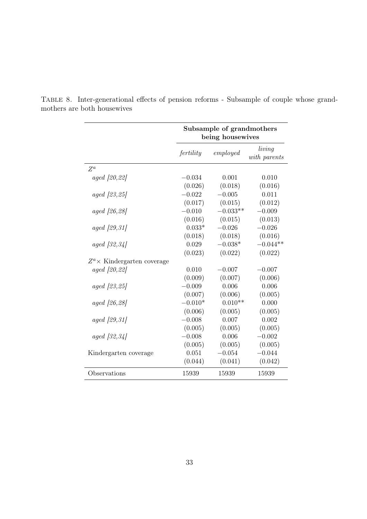<span id="page-32-0"></span>

|                               | Subsample of grandmothers<br>being housewives |            |                        |  |  |
|-------------------------------|-----------------------------------------------|------------|------------------------|--|--|
|                               | fertility                                     | employed   | living<br>with parents |  |  |
| $Z^a$                         |                                               |            |                        |  |  |
| aged [20, 22]                 | $-0.034$                                      | 0.001      | 0.010                  |  |  |
|                               | (0.026)                                       | (0.018)    | (0.016)                |  |  |
| aged [23, 25]                 | $-0.022$                                      | $-0.005$   | 0.011                  |  |  |
|                               | (0.017)                                       | (0.015)    | (0.012)                |  |  |
| <i>aged</i> [26,28]           | $-0.010$                                      | $-0.033**$ | $-0.009$               |  |  |
|                               | (0.016)                                       | (0.015)    | (0.013)                |  |  |
| <i>aged</i> [29,31]           | $0.033*$                                      | $-0.026$   | $-0.026$               |  |  |
|                               | (0.018)                                       | (0.018)    | (0.016)                |  |  |
| <i>aged</i> $[32, 34]$        | 0.029                                         | $-0.038*$  | $-0.044**$             |  |  |
|                               | (0.023)                                       | (0.022)    | (0.022)                |  |  |
| $Z^a$ X Kindergarten coverage |                                               |            |                        |  |  |
| aged [20, 22]                 | 0.010                                         | $-0.007$   | $-0.007$               |  |  |
|                               | (0.009)                                       | (0.007)    | (0.006)                |  |  |
| aged [23, 25]                 | $-0.009$                                      | 0.006      | 0.006                  |  |  |
|                               | (0.007)                                       | (0.006)    | (0.005)                |  |  |
| aged [26, 28]                 | $-0.010*$                                     | $0.010**$  | 0.000                  |  |  |
|                               | (0.006)                                       | (0.005)    | (0.005)                |  |  |
| aged [29, 31]                 | $-0.008$                                      | 0.007      | 0.002                  |  |  |
|                               | (0.005)                                       | (0.005)    | (0.005)                |  |  |
| aged [32, 34]                 | $-0.008$                                      | 0.006      | $-0.002$               |  |  |
|                               | (0.005)                                       | (0.005)    | (0.005)                |  |  |
| Kindergarten coverage         | 0.051                                         | $-0.054$   | $-0.044$               |  |  |
|                               | (0.044)                                       | (0.041)    | (0.042)                |  |  |
| Observations                  | 15939                                         | 15939      | 15939                  |  |  |

Table 8. Inter-generational effects of pension reforms - Subsample of couple whose grandmothers are both housewives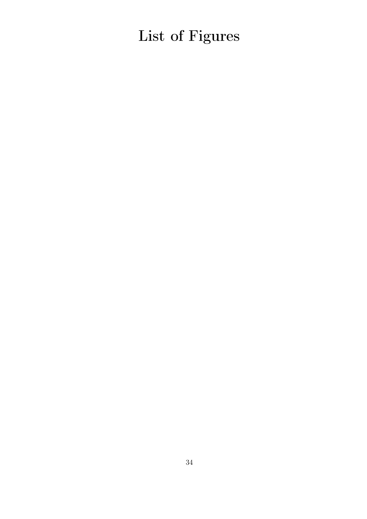List of Figures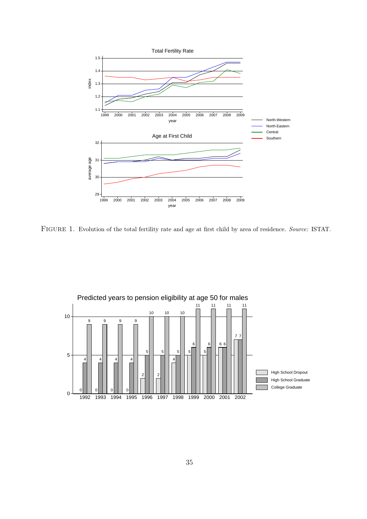

<span id="page-34-0"></span>FIGURE 1. Evolution of the total fertility rate and age at first child by area of residence. Source: ISTAT.

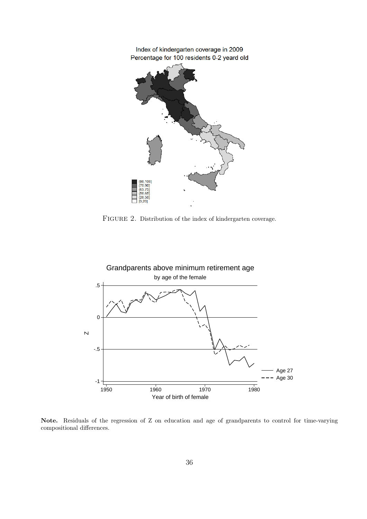

<span id="page-35-0"></span>FIGURE 2. Distribution of the index of kindergarten coverage.



Note. Residuals of the regression of Z on education and age of grandparents to control for time-varying compositional differences.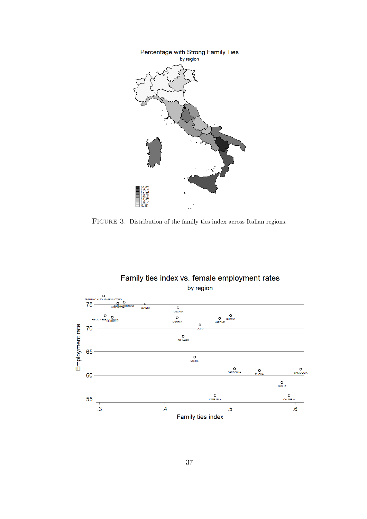

<span id="page-36-0"></span>FIGURE 3. Distribution of the family ties index across Italian regions.